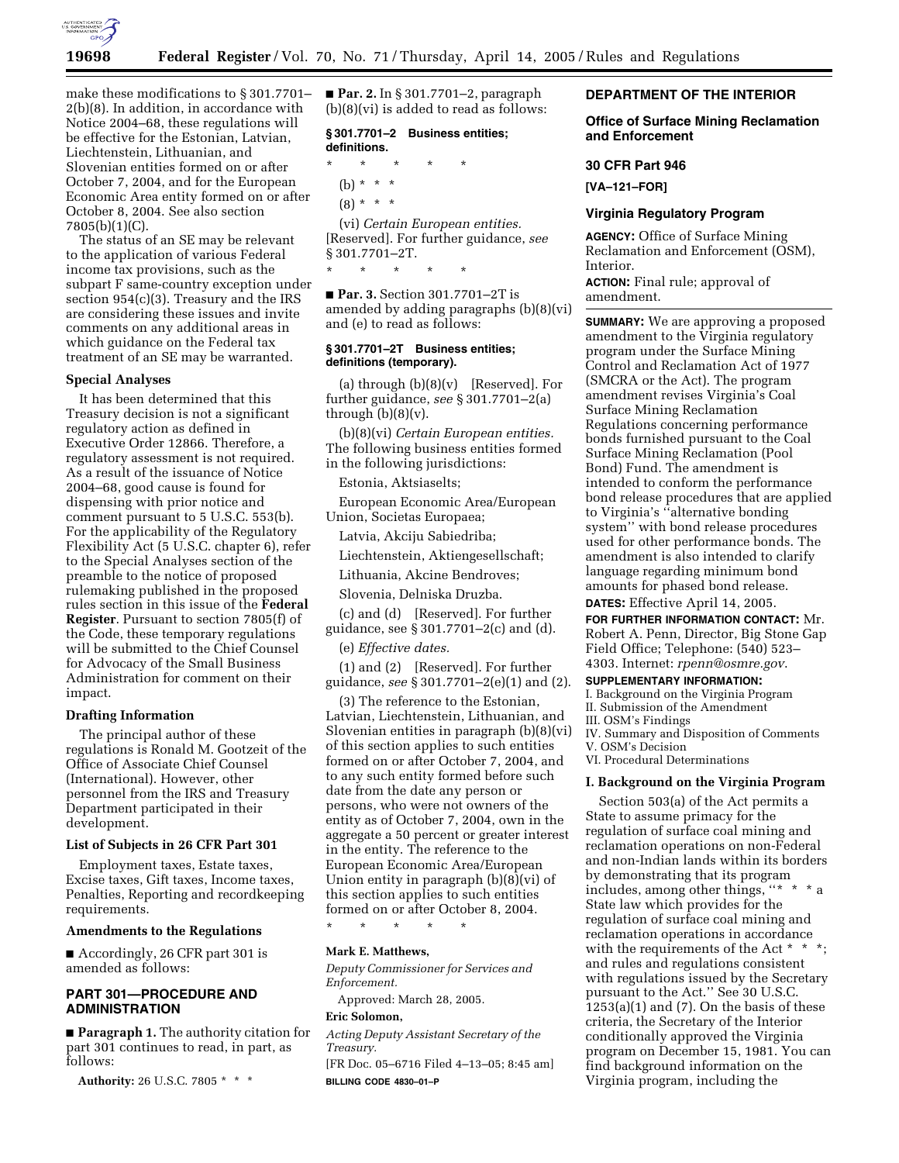

make these modifications to § 301.7701– 2(b)(8). In addition, in accordance with Notice 2004–68, these regulations will be effective for the Estonian, Latvian, Liechtenstein, Lithuanian, and Slovenian entities formed on or after October 7, 2004, and for the European Economic Area entity formed on or after October 8, 2004. See also section 7805(b)(1)(C).

The status of an SE may be relevant to the application of various Federal income tax provisions, such as the subpart F same-country exception under section 954(c)(3). Treasury and the IRS are considering these issues and invite comments on any additional areas in which guidance on the Federal tax treatment of an SE may be warranted.

### **Special Analyses**

It has been determined that this Treasury decision is not a significant regulatory action as defined in Executive Order 12866. Therefore, a regulatory assessment is not required. As a result of the issuance of Notice 2004–68, good cause is found for dispensing with prior notice and comment pursuant to 5 U.S.C. 553(b). For the applicability of the Regulatory Flexibility Act (5 U.S.C. chapter 6), refer to the Special Analyses section of the preamble to the notice of proposed rulemaking published in the proposed rules section in this issue of the **Federal Register**. Pursuant to section 7805(f) of the Code, these temporary regulations will be submitted to the Chief Counsel for Advocacy of the Small Business Administration for comment on their impact.

#### **Drafting Information**

The principal author of these regulations is Ronald M. Gootzeit of the Office of Associate Chief Counsel (International). However, other personnel from the IRS and Treasury Department participated in their development.

### **List of Subjects in 26 CFR Part 301**

Employment taxes, Estate taxes, Excise taxes, Gift taxes, Income taxes, Penalties, Reporting and recordkeeping requirements.

#### **Amendments to the Regulations**

■ Accordingly, 26 CFR part 301 is amended as follows:

# **PART 301—PROCEDURE AND ADMINISTRATION**

■ **Paragraph 1.** The authority citation for part 301 continues to read, in part, as follows:

**Authority:** 26 U.S.C. 7805 \* \* \*

■ **Par. 2.** In § 301.7701–2, paragraph (b)(8)(vi) is added to read as follows:

# **§ 301.7701–2 Business entities; definitions.**

\* \* \* \* \* (b) \* \* \*  $(8) * * * *$ (vi) *Certain European entities.*

[Reserved]. For further guidance, *see* § 301.7701–2T. \* \* \* \* \*

■ **Par. 3.** Section 301.7701–2T is amended by adding paragraphs (b)(8)(vi) and (e) to read as follows:

# **§ 301.7701–2T Business entities; definitions (temporary).**

(a) through (b)(8)(v) [Reserved]. For further guidance, *see* § 301.7701–2(a) through  $(b)(8)(v)$ .

(b)(8)(vi) *Certain European entities.* The following business entities formed in the following jurisdictions:

Estonia, Aktsiaselts;

European Economic Area/European Union, Societas Europaea;

Latvia, Akciju Sabiedriba;

Liechtenstein, Aktiengesellschaft;

Lithuania, Akcine Bendroves;

Slovenia, Delniska Druzba.

(c) and (d) [Reserved]. For further guidance, see § 301.7701–2(c) and (d).

(e) *Effective dates.*

(1) and (2) [Reserved]. For further guidance, *see* § 301.7701–2(e)(1) and (2).

(3) The reference to the Estonian, Latvian, Liechtenstein, Lithuanian, and Slovenian entities in paragraph (b)(8)(vi) of this section applies to such entities formed on or after October 7, 2004, and to any such entity formed before such date from the date any person or persons, who were not owners of the entity as of October 7, 2004, own in the aggregate a 50 percent or greater interest in the entity. The reference to the European Economic Area/European Union entity in paragraph (b)(8)(vi) of this section applies to such entities formed on or after October 8, 2004.

\* \* \* \* \*

#### **Mark E. Matthews,**

*Deputy Commissioner for Services and Enforcement.* 

Approved: March 28, 2005.

### **Eric Solomon,**

*Acting Deputy Assistant Secretary of the Treasury.*

[FR Doc. 05–6716 Filed 4–13–05; 8:45 am] **BILLING CODE 4830–01–P**

# **DEPARTMENT OF THE INTERIOR**

# **Office of Surface Mining Reclamation and Enforcement**

#### **30 CFR Part 946**

**[VA–121–FOR]** 

#### **Virginia Regulatory Program**

**AGENCY:** Office of Surface Mining Reclamation and Enforcement (OSM), Interior.

**ACTION:** Final rule; approval of amendment.

**SUMMARY:** We are approving a proposed amendment to the Virginia regulatory program under the Surface Mining Control and Reclamation Act of 1977 (SMCRA or the Act). The program amendment revises Virginia's Coal Surface Mining Reclamation Regulations concerning performance bonds furnished pursuant to the Coal Surface Mining Reclamation (Pool Bond) Fund. The amendment is intended to conform the performance bond release procedures that are applied to Virginia's ''alternative bonding system'' with bond release procedures used for other performance bonds. The amendment is also intended to clarify language regarding minimum bond amounts for phased bond release.

**DATES:** Effective April 14, 2005.

**FOR FURTHER INFORMATION CONTACT:** Mr. Robert A. Penn, Director, Big Stone Gap Field Office; Telephone: (540) 523– 4303. Internet: *rpenn@osmre.gov*.

# **SUPPLEMENTARY INFORMATION:**

I. Background on the Virginia Program II. Submission of the Amendment III. OSM's Findings IV. Summary and Disposition of Comments

V. OSM's Decision

VI. Procedural Determinations

#### **I. Background on the Virginia Program**

Section 503(a) of the Act permits a State to assume primacy for the regulation of surface coal mining and reclamation operations on non-Federal and non-Indian lands within its borders by demonstrating that its program includes, among other things, ''\*  $*$  \*  $*$  a State law which provides for the regulation of surface coal mining and reclamation operations in accordance with the requirements of the Act \* \* \*; and rules and regulations consistent with regulations issued by the Secretary pursuant to the Act.'' See 30 U.S.C.  $1253(a)(1)$  and  $(7)$ . On the basis of these criteria, the Secretary of the Interior conditionally approved the Virginia program on December 15, 1981. You can find background information on the Virginia program, including the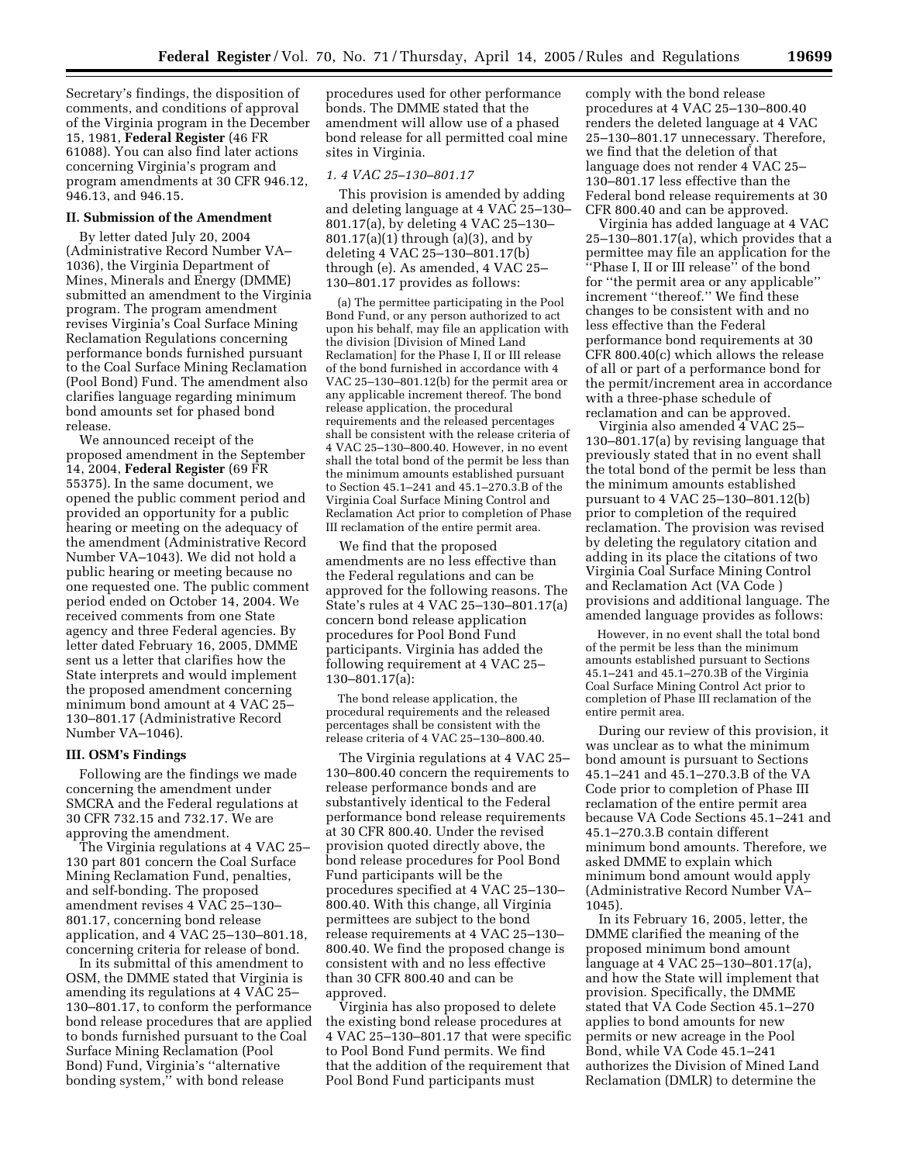Secretary's findings, the disposition of comments, and conditions of approval of the Virginia program in the December 15, 1981, **Federal Register** (46 FR 61088). You can also find later actions concerning Virginia's program and program amendments at 30 CFR 946.12, 946.13, and 946.15.

#### **II. Submission of the Amendment**

By letter dated July 20, 2004 (Administrative Record Number VA– 1036), the Virginia Department of Mines, Minerals and Energy (DMME) submitted an amendment to the Virginia program. The program amendment revises Virginia's Coal Surface Mining Reclamation Regulations concerning performance bonds furnished pursuant to the Coal Surface Mining Reclamation (Pool Bond) Fund. The amendment also clarifies language regarding minimum bond amounts set for phased bond release.

We announced receipt of the proposed amendment in the September 14, 2004, **Federal Register** (69 FR 55375). In the same document, we opened the public comment period and provided an opportunity for a public hearing or meeting on the adequacy of the amendment (Administrative Record Number VA–1043). We did not hold a public hearing or meeting because no one requested one. The public comment period ended on October 14, 2004. We received comments from one State agency and three Federal agencies. By letter dated February 16, 2005, DMME sent us a letter that clarifies how the State interprets and would implement the proposed amendment concerning minimum bond amount at 4 VAC 25– 130–801.17 (Administrative Record Number VA–1046).

#### **III. OSM's Findings**

Following are the findings we made concerning the amendment under SMCRA and the Federal regulations at 30 CFR 732.15 and 732.17. We are approving the amendment.

The Virginia regulations at 4 VAC 25– 130 part 801 concern the Coal Surface Mining Reclamation Fund, penalties, and self-bonding. The proposed amendment revises 4 VAC 25–130– 801.17, concerning bond release application, and 4 VAC 25–130–801.18, concerning criteria for release of bond.

In its submittal of this amendment to OSM, the DMME stated that Virginia is amending its regulations at 4 VAC 25– 130–801.17, to conform the performance bond release procedures that are applied to bonds furnished pursuant to the Coal Surface Mining Reclamation (Pool Bond) Fund, Virginia's ''alternative bonding system,'' with bond release

procedures used for other performance bonds. The DMME stated that the amendment will allow use of a phased bond release for all permitted coal mine sites in Virginia.

#### *1. 4 VAC 25–130–801.17*

This provision is amended by adding and deleting language at 4 VAC 25–130– 801.17(a), by deleting 4 VAC 25–130– 801.17(a)(1) through (a)(3), and by deleting 4 VAC 25–130–801.17(b) through (e). As amended, 4 VAC 25– 130–801.17 provides as follows:

(a) The permittee participating in the Pool Bond Fund, or any person authorized to act upon his behalf, may file an application with the division [Division of Mined Land Reclamation] for the Phase I, II or III release of the bond furnished in accordance with 4 VAC 25–130–801.12(b) for the permit area or any applicable increment thereof. The bond release application, the procedural requirements and the released percentages shall be consistent with the release criteria of 4 VAC 25–130–800.40. However, in no event shall the total bond of the permit be less than the minimum amounts established pursuant to Section 45.1–241 and 45.1–270.3.B of the Virginia Coal Surface Mining Control and Reclamation Act prior to completion of Phase III reclamation of the entire permit area.

We find that the proposed amendments are no less effective than the Federal regulations and can be approved for the following reasons. The State's rules at 4 VAC 25–130–801.17(a) concern bond release application procedures for Pool Bond Fund participants. Virginia has added the following requirement at 4 VAC 25– 130–801.17(a):

The bond release application, the procedural requirements and the released percentages shall be consistent with the release criteria of 4 VAC 25–130–800.40.

The Virginia regulations at 4 VAC 25– 130–800.40 concern the requirements to release performance bonds and are substantively identical to the Federal performance bond release requirements at 30 CFR 800.40. Under the revised provision quoted directly above, the bond release procedures for Pool Bond Fund participants will be the procedures specified at 4 VAC 25–130– 800.40. With this change, all Virginia permittees are subject to the bond release requirements at 4 VAC 25–130– 800.40. We find the proposed change is consistent with and no less effective than 30 CFR 800.40 and can be approved.

Virginia has also proposed to delete the existing bond release procedures at 4 VAC 25–130–801.17 that were specific to Pool Bond Fund permits. We find that the addition of the requirement that Pool Bond Fund participants must

comply with the bond release procedures at 4 VAC 25–130–800.40 renders the deleted language at 4 VAC 25–130–801.17 unnecessary. Therefore, we find that the deletion of that language does not render 4 VAC 25– 130–801.17 less effective than the Federal bond release requirements at 30 CFR 800.40 and can be approved.

Virginia has added language at 4 VAC 25–130–801.17(a), which provides that a permittee may file an application for the ''Phase I, II or III release'' of the bond for ''the permit area or any applicable'' increment ''thereof.'' We find these changes to be consistent with and no less effective than the Federal performance bond requirements at 30 CFR 800.40(c) which allows the release of all or part of a performance bond for the permit/increment area in accordance with a three-phase schedule of reclamation and can be approved.

Virginia also amended 4 VAC 25– 130–801.17(a) by revising language that previously stated that in no event shall the total bond of the permit be less than the minimum amounts established pursuant to 4 VAC 25–130–801.12(b) prior to completion of the required reclamation. The provision was revised by deleting the regulatory citation and adding in its place the citations of two Virginia Coal Surface Mining Control and Reclamation Act (VA Code ) provisions and additional language. The amended language provides as follows:

However, in no event shall the total bond of the permit be less than the minimum amounts established pursuant to Sections 45.1–241 and 45.1–270.3B of the Virginia Coal Surface Mining Control Act prior to completion of Phase III reclamation of the entire permit area.

During our review of this provision, it was unclear as to what the minimum bond amount is pursuant to Sections 45.1–241 and 45.1–270.3.B of the VA Code prior to completion of Phase III reclamation of the entire permit area because VA Code Sections 45.1–241 and 45.1–270.3.B contain different minimum bond amounts. Therefore, we asked DMME to explain which minimum bond amount would apply (Administrative Record Number VA– 1045).

In its February 16, 2005, letter, the DMME clarified the meaning of the proposed minimum bond amount language at 4 VAC 25–130–801.17(a), and how the State will implement that provision. Specifically, the DMME stated that VA Code Section 45.1–270 applies to bond amounts for new permits or new acreage in the Pool Bond, while VA Code 45.1–241 authorizes the Division of Mined Land Reclamation (DMLR) to determine the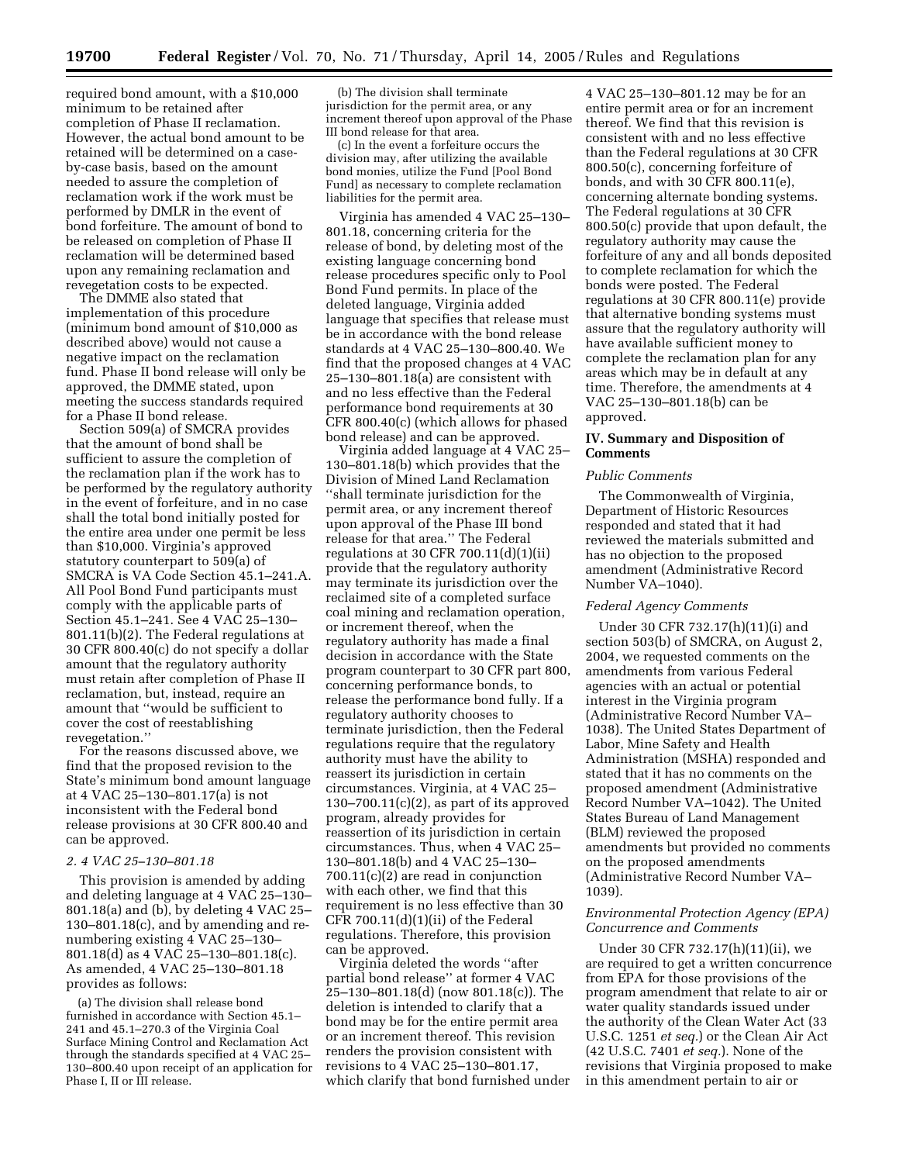required bond amount, with a \$10,000 minimum to be retained after completion of Phase II reclamation. However, the actual bond amount to be retained will be determined on a caseby-case basis, based on the amount needed to assure the completion of reclamation work if the work must be performed by DMLR in the event of bond forfeiture. The amount of bond to be released on completion of Phase II reclamation will be determined based upon any remaining reclamation and revegetation costs to be expected.

The DMME also stated that implementation of this procedure (minimum bond amount of \$10,000 as described above) would not cause a negative impact on the reclamation fund. Phase II bond release will only be approved, the DMME stated, upon meeting the success standards required for a Phase II bond release.

Section 509(a) of SMCRA provides that the amount of bond shall be sufficient to assure the completion of the reclamation plan if the work has to be performed by the regulatory authority in the event of forfeiture, and in no case shall the total bond initially posted for the entire area under one permit be less than \$10,000. Virginia's approved statutory counterpart to 509(a) of SMCRA is VA Code Section 45.1–241.A. All Pool Bond Fund participants must comply with the applicable parts of Section 45.1–241. See 4 VAC 25–130– 801.11(b)(2). The Federal regulations at 30 CFR 800.40(c) do not specify a dollar amount that the regulatory authority must retain after completion of Phase II reclamation, but, instead, require an amount that ''would be sufficient to cover the cost of reestablishing revegetation.''

For the reasons discussed above, we find that the proposed revision to the State's minimum bond amount language at 4 VAC 25–130–801.17(a) is not inconsistent with the Federal bond release provisions at 30 CFR 800.40 and can be approved.

### *2. 4 VAC 25–130–801.18*

This provision is amended by adding and deleting language at 4 VAC 25–130– 801.18(a) and (b), by deleting 4 VAC 25– 130–801.18(c), and by amending and renumbering existing 4 VAC 25–130– 801.18(d) as 4 VAC 25–130–801.18(c). As amended, 4 VAC 25–130–801.18 provides as follows:

(a) The division shall release bond furnished in accordance with Section 45.1– 241 and 45.1–270.3 of the Virginia Coal Surface Mining Control and Reclamation Act through the standards specified at 4 VAC 25– 130–800.40 upon receipt of an application for Phase I, II or III release.

(b) The division shall terminate jurisdiction for the permit area, or any increment thereof upon approval of the Phase III bond release for that area.

(c) In the event a forfeiture occurs the division may, after utilizing the available bond monies, utilize the Fund [Pool Bond Fund] as necessary to complete reclamation liabilities for the permit area.

Virginia has amended 4 VAC 25–130– 801.18, concerning criteria for the release of bond, by deleting most of the existing language concerning bond release procedures specific only to Pool Bond Fund permits. In place of the deleted language, Virginia added language that specifies that release must be in accordance with the bond release standards at 4 VAC 25–130–800.40. We find that the proposed changes at 4 VAC 25–130–801.18(a) are consistent with and no less effective than the Federal performance bond requirements at 30 CFR 800.40(c) (which allows for phased bond release) and can be approved.

Virginia added language at 4 VAC 25– 130–801.18(b) which provides that the Division of Mined Land Reclamation ''shall terminate jurisdiction for the permit area, or any increment thereof upon approval of the Phase III bond release for that area.'' The Federal regulations at 30 CFR 700.11 $(d)(1)(ii)$ provide that the regulatory authority may terminate its jurisdiction over the reclaimed site of a completed surface coal mining and reclamation operation, or increment thereof, when the regulatory authority has made a final decision in accordance with the State program counterpart to 30 CFR part 800, concerning performance bonds, to release the performance bond fully. If a regulatory authority chooses to terminate jurisdiction, then the Federal regulations require that the regulatory authority must have the ability to reassert its jurisdiction in certain circumstances. Virginia, at 4 VAC 25–  $130-700.11(c)(2)$ , as part of its approved program, already provides for reassertion of its jurisdiction in certain circumstances. Thus, when 4 VAC 25– 130–801.18(b) and 4 VAC 25–130– 700.11(c)(2) are read in conjunction with each other, we find that this requirement is no less effective than 30 CFR 700.11(d)(1)(ii) of the Federal regulations. Therefore, this provision can be approved.

Virginia deleted the words ''after partial bond release'' at former 4 VAC 25–130–801.18(d) (now 801.18(c)). The deletion is intended to clarify that a bond may be for the entire permit area or an increment thereof. This revision renders the provision consistent with revisions to 4 VAC 25–130–801.17, which clarify that bond furnished under

4 VAC 25–130–801.12 may be for an entire permit area or for an increment thereof. We find that this revision is consistent with and no less effective than the Federal regulations at 30 CFR 800.50(c), concerning forfeiture of bonds, and with 30 CFR 800.11(e), concerning alternate bonding systems. The Federal regulations at 30 CFR 800.50(c) provide that upon default, the regulatory authority may cause the forfeiture of any and all bonds deposited to complete reclamation for which the bonds were posted. The Federal regulations at 30 CFR 800.11(e) provide that alternative bonding systems must assure that the regulatory authority will have available sufficient money to complete the reclamation plan for any areas which may be in default at any time. Therefore, the amendments at 4 VAC 25–130–801.18(b) can be approved.

### **IV. Summary and Disposition of Comments**

#### *Public Comments*

The Commonwealth of Virginia, Department of Historic Resources responded and stated that it had reviewed the materials submitted and has no objection to the proposed amendment (Administrative Record Number VA–1040).

#### *Federal Agency Comments*

Under 30 CFR 732.17(h)(11)(i) and section 503(b) of SMCRA, on August 2, 2004, we requested comments on the amendments from various Federal agencies with an actual or potential interest in the Virginia program (Administrative Record Number VA– 1038). The United States Department of Labor, Mine Safety and Health Administration (MSHA) responded and stated that it has no comments on the proposed amendment (Administrative Record Number VA–1042). The United States Bureau of Land Management (BLM) reviewed the proposed amendments but provided no comments on the proposed amendments (Administrative Record Number VA– 1039).

## *Environmental Protection Agency (EPA) Concurrence and Comments*

Under 30 CFR 732.17(h)(11)(ii), we are required to get a written concurrence from EPA for those provisions of the program amendment that relate to air or water quality standards issued under the authority of the Clean Water Act (33 U.S.C. 1251 *et seq.*) or the Clean Air Act (42 U.S.C. 7401 *et seq.*). None of the revisions that Virginia proposed to make in this amendment pertain to air or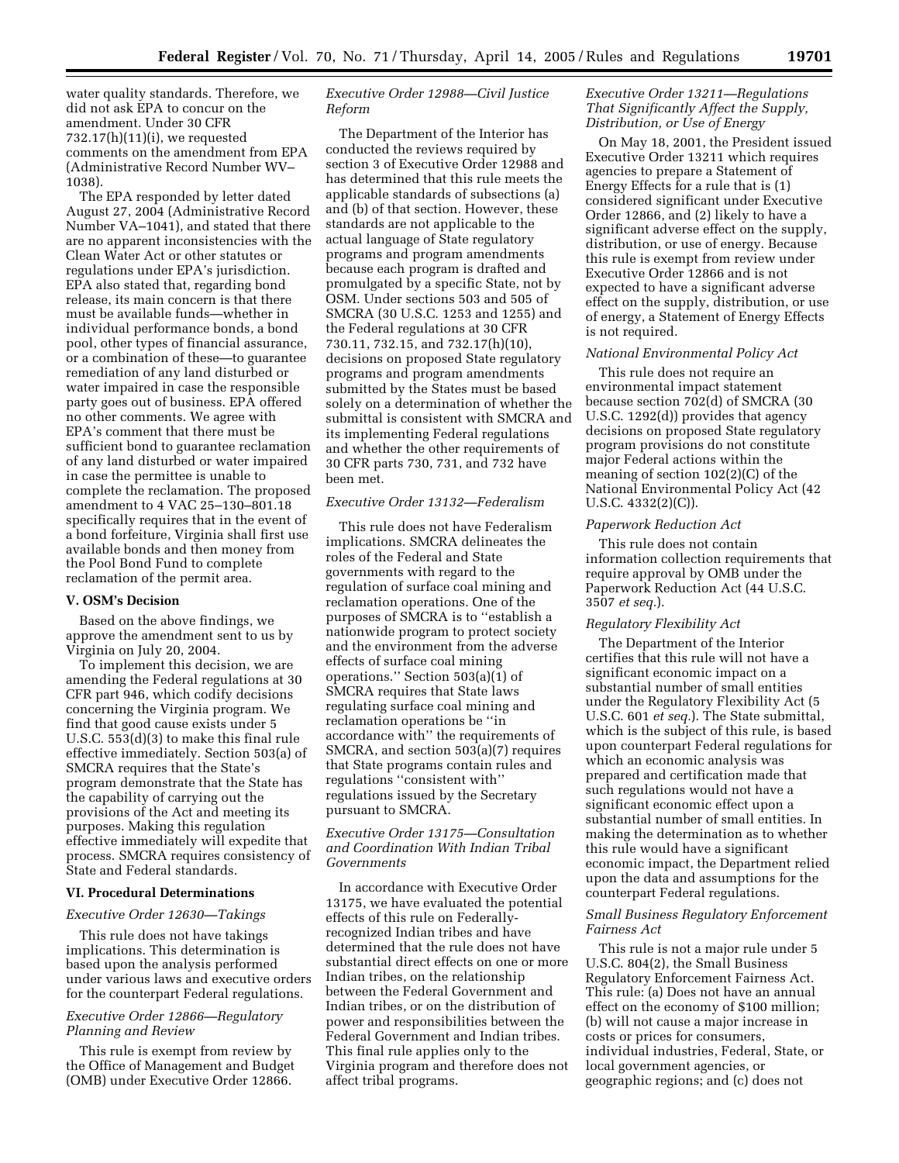water quality standards. Therefore, we did not ask EPA to concur on the amendment. Under 30 CFR 732.17(h)(11)(i), we requested comments on the amendment from EPA (Administrative Record Number WV– 1038).

The EPA responded by letter dated August 27, 2004 (Administrative Record Number VA–1041), and stated that there are no apparent inconsistencies with the Clean Water Act or other statutes or regulations under EPA's jurisdiction. EPA also stated that, regarding bond release, its main concern is that there must be available funds—whether in individual performance bonds, a bond pool, other types of financial assurance, or a combination of these—to guarantee remediation of any land disturbed or water impaired in case the responsible party goes out of business. EPA offered no other comments. We agree with EPA's comment that there must be sufficient bond to guarantee reclamation of any land disturbed or water impaired in case the permittee is unable to complete the reclamation. The proposed amendment to 4 VAC 25–130–801.18 specifically requires that in the event of a bond forfeiture, Virginia shall first use available bonds and then money from the Pool Bond Fund to complete reclamation of the permit area.

#### **V. OSM's Decision**

Based on the above findings, we approve the amendment sent to us by Virginia on July 20, 2004.

To implement this decision, we are amending the Federal regulations at 30 CFR part 946, which codify decisions concerning the Virginia program. We find that good cause exists under 5 U.S.C. 553(d)(3) to make this final rule effective immediately. Section 503(a) of SMCRA requires that the State's program demonstrate that the State has the capability of carrying out the provisions of the Act and meeting its purposes. Making this regulation effective immediately will expedite that process. SMCRA requires consistency of State and Federal standards.

#### **VI. Procedural Determinations**

#### *Executive Order 12630—Takings*

This rule does not have takings implications. This determination is based upon the analysis performed under various laws and executive orders for the counterpart Federal regulations.

# *Executive Order 12866—Regulatory Planning and Review*

This rule is exempt from review by the Office of Management and Budget (OMB) under Executive Order 12866.

# *Executive Order 12988—Civil Justice Reform*

The Department of the Interior has conducted the reviews required by section 3 of Executive Order 12988 and has determined that this rule meets the applicable standards of subsections (a) and (b) of that section. However, these standards are not applicable to the actual language of State regulatory programs and program amendments because each program is drafted and promulgated by a specific State, not by OSM. Under sections 503 and 505 of SMCRA (30 U.S.C. 1253 and 1255) and the Federal regulations at 30 CFR 730.11, 732.15, and 732.17(h)(10), decisions on proposed State regulatory programs and program amendments submitted by the States must be based solely on a determination of whether the submittal is consistent with SMCRA and its implementing Federal regulations and whether the other requirements of 30 CFR parts 730, 731, and 732 have been met.

### *Executive Order 13132—Federalism*

This rule does not have Federalism implications. SMCRA delineates the roles of the Federal and State governments with regard to the regulation of surface coal mining and reclamation operations. One of the purposes of SMCRA is to ''establish a nationwide program to protect society and the environment from the adverse effects of surface coal mining operations.'' Section 503(a)(1) of SMCRA requires that State laws regulating surface coal mining and reclamation operations be ''in accordance with'' the requirements of SMCRA, and section 503(a)(7) requires that State programs contain rules and regulations ''consistent with'' regulations issued by the Secretary pursuant to SMCRA.

# *Executive Order 13175—Consultation and Coordination With Indian Tribal Governments*

In accordance with Executive Order 13175, we have evaluated the potential effects of this rule on Federallyrecognized Indian tribes and have determined that the rule does not have substantial direct effects on one or more Indian tribes, on the relationship between the Federal Government and Indian tribes, or on the distribution of power and responsibilities between the Federal Government and Indian tribes. This final rule applies only to the Virginia program and therefore does not affect tribal programs.

# *Executive Order 13211—Regulations That Significantly Affect the Supply, Distribution, or Use of Energy*

On May 18, 2001, the President issued Executive Order 13211 which requires agencies to prepare a Statement of Energy Effects for a rule that is (1) considered significant under Executive Order 12866, and (2) likely to have a significant adverse effect on the supply, distribution, or use of energy. Because this rule is exempt from review under Executive Order 12866 and is not expected to have a significant adverse effect on the supply, distribution, or use of energy, a Statement of Energy Effects is not required.

#### *National Environmental Policy Act*

This rule does not require an environmental impact statement because section 702(d) of SMCRA (30 U.S.C. 1292(d)) provides that agency decisions on proposed State regulatory program provisions do not constitute major Federal actions within the meaning of section 102(2)(C) of the National Environmental Policy Act (42 U.S.C. 4332(2)(C)).

## *Paperwork Reduction Act*

This rule does not contain information collection requirements that require approval by OMB under the Paperwork Reduction Act (44 U.S.C. 3507 *et seq.*).

#### *Regulatory Flexibility Act*

The Department of the Interior certifies that this rule will not have a significant economic impact on a substantial number of small entities under the Regulatory Flexibility Act (5 U.S.C. 601 *et seq.*). The State submittal, which is the subject of this rule, is based upon counterpart Federal regulations for which an economic analysis was prepared and certification made that such regulations would not have a significant economic effect upon a substantial number of small entities. In making the determination as to whether this rule would have a significant economic impact, the Department relied upon the data and assumptions for the counterpart Federal regulations.

## *Small Business Regulatory Enforcement Fairness Act*

This rule is not a major rule under 5 U.S.C. 804(2), the Small Business Regulatory Enforcement Fairness Act. This rule: (a) Does not have an annual effect on the economy of \$100 million; (b) will not cause a major increase in costs or prices for consumers, individual industries, Federal, State, or local government agencies, or geographic regions; and (c) does not